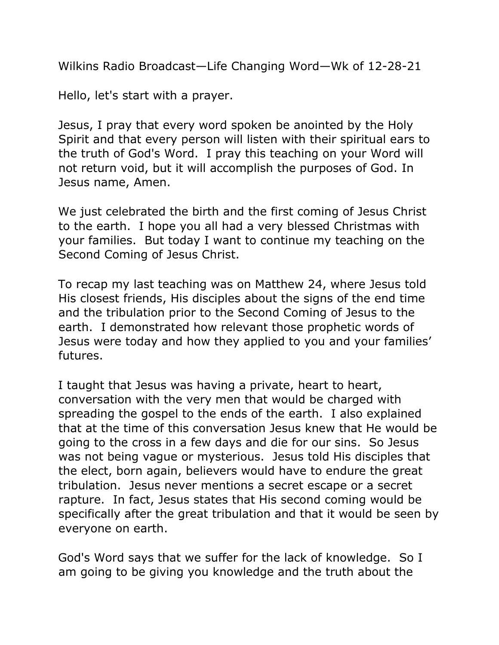Wilkins Radio Broadcast—Life Changing Word—Wk of 12-28-21

Hello, let's start with a prayer.

Jesus, I pray that every word spoken be anointed by the Holy Spirit and that every person will listen with their spiritual ears to the truth of God's Word. I pray this teaching on your Word will not return void, but it will accomplish the purposes of God. In Jesus name, Amen.

We just celebrated the birth and the first coming of Jesus Christ to the earth. I hope you all had a very blessed Christmas with your families. But today I want to continue my teaching on the Second Coming of Jesus Christ.

To recap my last teaching was on Matthew 24, where Jesus told His closest friends, His disciples about the signs of the end time and the tribulation prior to the Second Coming of Jesus to the earth. I demonstrated how relevant those prophetic words of Jesus were today and how they applied to you and your families' futures.

I taught that Jesus was having a private, heart to heart, conversation with the very men that would be charged with spreading the gospel to the ends of the earth. I also explained that at the time of this conversation Jesus knew that He would be going to the cross in a few days and die for our sins. So Jesus was not being vague or mysterious. Jesus told His disciples that the elect, born again, believers would have to endure the great tribulation. Jesus never mentions a secret escape or a secret rapture. In fact, Jesus states that His second coming would be specifically after the great tribulation and that it would be seen by everyone on earth.

God's Word says that we suffer for the lack of knowledge. So I am going to be giving you knowledge and the truth about the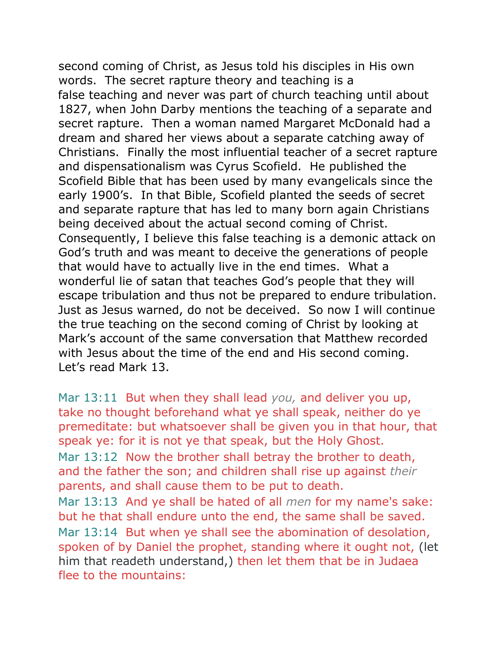second coming of Christ, as Jesus told his disciples in His own words. The secret rapture theory and teaching is a false teaching and never was part of church teaching until about 1827, when John Darby mentions the teaching of a separate and secret rapture. Then a woman named Margaret McDonald had a dream and shared her views about a separate catching away of Christians. Finally the most influential teacher of a secret rapture and dispensationalism was Cyrus Scofield. He published the Scofield Bible that has been used by many evangelicals since the early 1900's. In that Bible, Scofield planted the seeds of secret and separate rapture that has led to many born again Christians being deceived about the actual second coming of Christ. Consequently, I believe this false teaching is a demonic attack on God's truth and was meant to deceive the generations of people that would have to actually live in the end times. What a wonderful lie of satan that teaches God's people that they will escape tribulation and thus not be prepared to endure tribulation. Just as Jesus warned, do not be deceived. So now I will continue the true teaching on the second coming of Christ by looking at Mark's account of the same conversation that Matthew recorded with Jesus about the time of the end and His second coming. Let's read Mark 13.

Mar 13:11 But when they shall lead *you,* and deliver you up, take no thought beforehand what ye shall speak, neither do ye premeditate: but whatsoever shall be given you in that hour, that speak ye: for it is not ye that speak, but the Holy Ghost. Mar 13:12 Now the brother shall betray the brother to death, and the father the son; and children shall rise up against *their* parents, and shall cause them to be put to death. Mar 13:13 And ye shall be hated of all *men* for my name's sake: but he that shall endure unto the end, the same shall be saved. Mar 13:14 But when ye shall see the abomination of desolation, spoken of by Daniel the prophet, standing where it ought not, (let him that readeth understand,) then let them that be in Judaea flee to the mountains: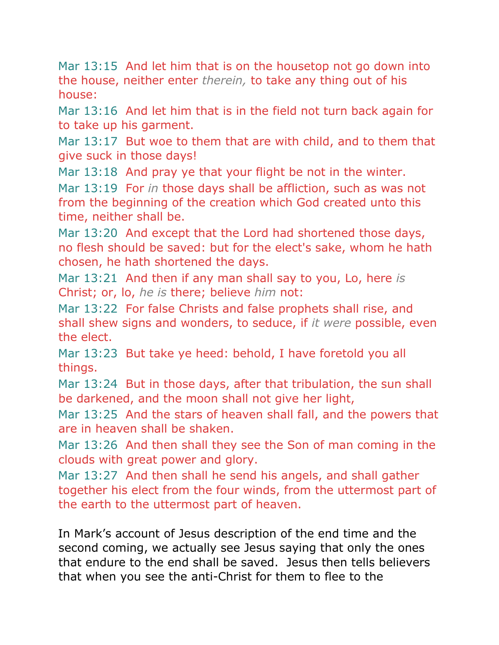Mar 13:15 And let him that is on the housetop not go down into the house, neither enter *therein,* to take any thing out of his house:

Mar 13:16 And let him that is in the field not turn back again for to take up his garment.

Mar 13:17 But woe to them that are with child, and to them that give suck in those days!

Mar 13:18 And pray ye that your flight be not in the winter.

Mar 13:19 For *in* those days shall be affliction, such as was not from the beginning of the creation which God created unto this time, neither shall be.

Mar 13:20 And except that the Lord had shortened those days, no flesh should be saved: but for the elect's sake, whom he hath chosen, he hath shortened the days.

Mar 13:21 And then if any man shall say to you, Lo, here *is* Christ; or, lo, *he is* there; believe *him* not:

Mar 13:22 For false Christs and false prophets shall rise, and shall shew signs and wonders, to seduce, if *it were* possible, even the elect.

Mar 13:23 But take ye heed: behold, I have foretold you all things.

Mar 13:24 But in those days, after that tribulation, the sun shall be darkened, and the moon shall not give her light,

Mar 13:25 And the stars of heaven shall fall, and the powers that are in heaven shall be shaken.

Mar 13:26 And then shall they see the Son of man coming in the clouds with great power and glory.

Mar 13:27 And then shall he send his angels, and shall gather together his elect from the four winds, from the uttermost part of the earth to the uttermost part of heaven.

In Mark's account of Jesus description of the end time and the second coming, we actually see Jesus saying that only the ones that endure to the end shall be saved. Jesus then tells believers that when you see the anti-Christ for them to flee to the